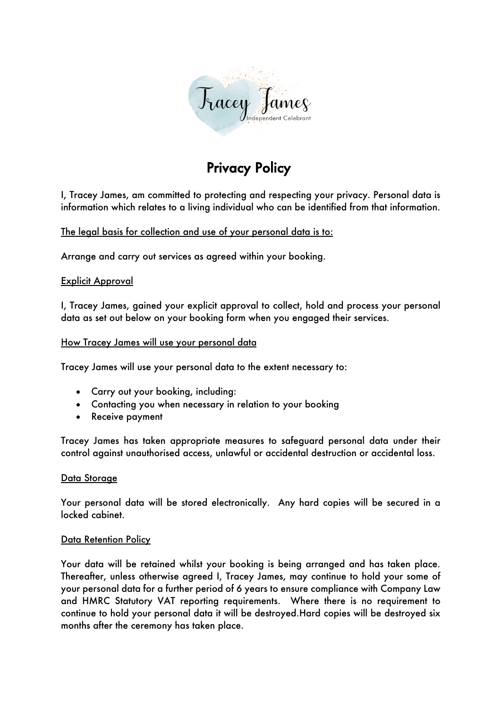

# Privacy Policy

I, Tracey James, am committed to protecting and respecting your privacy. Personal data is information which relates to a living individual who can be identified from that information.

The legal basis for collection and use of your personal data is to:

Arrange and carry out services as agreed within your booking.

## Explicit Approval

I, Tracey James, gained your explicit approval to collect, hold and process your personal data as set out below on your booking form when you engaged their services.

## How Tracey James will use your personal data

Tracey James will use your personal data to the extent necessary to:

- Carry out your booking, including:
- Contacting you when necessary in relation to your booking
- Receive payment

Tracey James has taken appropriate measures to safeguard personal data under their control against unauthorised access, unlawful or accidental destruction or accidental loss.

#### Data Storage

Your personal data will be stored electronically. Any hard copies will be secured in a locked cabinet.

#### Data Retention Policy

Your data will be retained whilst your booking is being arranged and has taken place. Thereafter, unless otherwise agreed I, Tracey James, may continue to hold your some of your personal data for a further period of 6 years to ensure compliance with Company Law and HMRC Statutory VAT reporting requirements. Where there is no requirement to continue to hold your personal data it will be destroyed.Hard copies will be destroyed six months after the ceremony has taken place.